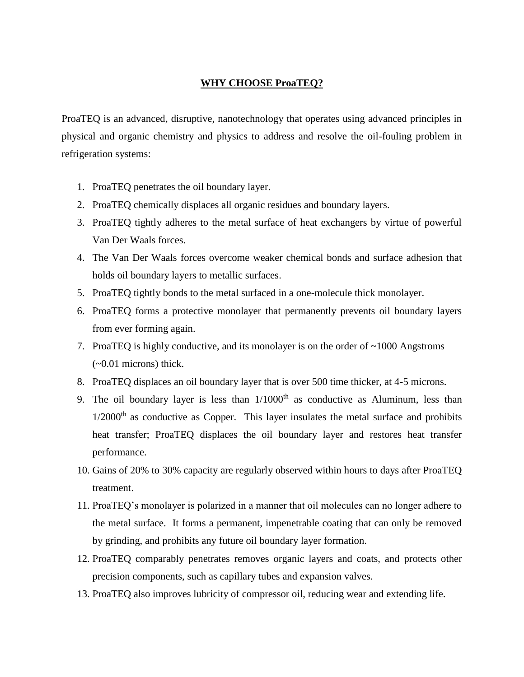## **WHY CHOOSE ProaTEQ?**

ProaTEQ is an advanced, disruptive, nanotechnology that operates using advanced principles in physical and organic chemistry and physics to address and resolve the oil-fouling problem in refrigeration systems:

- 1. ProaTEQ penetrates the oil boundary layer.
- 2. ProaTEQ chemically displaces all organic residues and boundary layers.
- 3. ProaTEQ tightly adheres to the metal surface of heat exchangers by virtue of powerful Van Der Waals forces.
- 4. The Van Der Waals forces overcome weaker chemical bonds and surface adhesion that holds oil boundary layers to metallic surfaces.
- 5. ProaTEQ tightly bonds to the metal surfaced in a one-molecule thick monolayer.
- 6. ProaTEQ forms a protective monolayer that permanently prevents oil boundary layers from ever forming again.
- 7. ProaTEQ is highly conductive, and its monolayer is on the order of ~1000 Angstroms (~0.01 microns) thick.
- 8. ProaTEQ displaces an oil boundary layer that is over 500 time thicker, at 4-5 microns.
- 9. The oil boundary layer is less than  $1/1000<sup>th</sup>$  as conductive as Aluminum, less than  $1/2000<sup>th</sup>$  as conductive as Copper. This layer insulates the metal surface and prohibits heat transfer; ProaTEQ displaces the oil boundary layer and restores heat transfer performance.
- 10. Gains of 20% to 30% capacity are regularly observed within hours to days after ProaTEQ treatment.
- 11. ProaTEQ's monolayer is polarized in a manner that oil molecules can no longer adhere to the metal surface. It forms a permanent, impenetrable coating that can only be removed by grinding, and prohibits any future oil boundary layer formation.
- 12. ProaTEQ comparably penetrates removes organic layers and coats, and protects other precision components, such as capillary tubes and expansion valves.
- 13. ProaTEQ also improves lubricity of compressor oil, reducing wear and extending life.